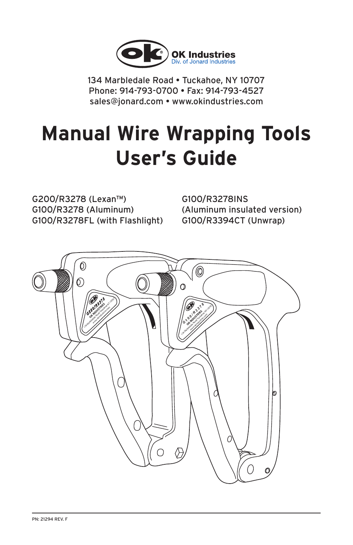

134 Marbledale Road • Tuckahoe, NY 10707 Phone: 914-793-0700 • Fax: 914-793-4527 sales@jonard.com • www.okindustries.com

# **Manual Wire Wrapping Tools User's Guide**

G200/R3278 (Lexan™) G100/R3278 (Aluminum) G100/R3278FL (with Flashlight) G100/R3278INS (Aluminum insulated version) G100/R3394CT (Unwrap)

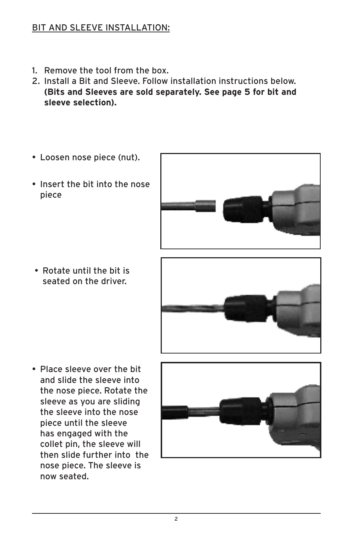#### BIT AND SLEEVE INSTALLATION:

- 1. Remove the tool from the box.
- 2. Install a Bit and Sleeve. Follow installation instructions below. **(Bits and Sleeves are sold separately. See page 5 for bit and sleeve selection).**
- Loosen nose piece (nut).
- Insert the bit into the nose piece

• Rotate until the bit is seated on the driver.





• Place sleeve over the bit and slide the sleeve into the nose piece. Rotate the sleeve as you are sliding the sleeve into the nose piece until the sleeve has engaged with the collet pin, the sleeve will then slide further into the nose piece. The sleeve is now seated.

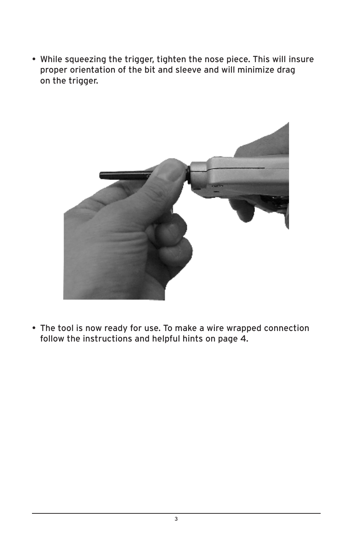• While squeezing the trigger, tighten the nose piece. This will insure proper orientation of the bit and sleeve and will minimize drag on the trigger.



• The tool is now ready for use. To make a wire wrapped connection follow the instructions and helpful hints on page 4.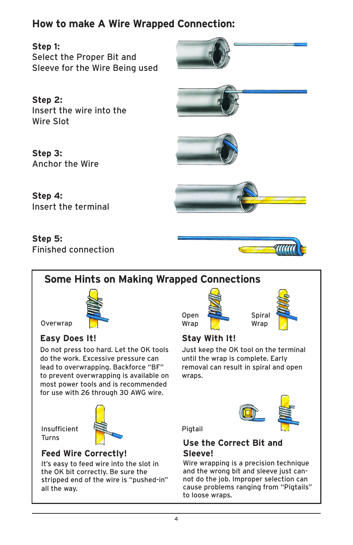# **How to make A Wire Wrapped Connection:**

**Step 1:** Select the Proper Bit and Sleeve for the Wire Being used



**Step 2:** Insert the wire into the Wire Slot

**Step 3:** Anchor the Wire

**Step 4:**







Insert the terminal

#### **Step 5:** Finished connection





Overwrap

### **Easy Does It! Stay With It!**

Do not press too hard. Let the OK tools do the work. Excessive pressure can lead to overwrapping. Backforce "BF" to prevent overwrapping is available on most power tools and is recommended for use with 26 through 30 AWG wire.

Insufficient **Turns** 



#### **Feed Wire Correctly!**

It's easy to feed wire into the slot in the OK bit correctly. Be sure the stripped end of the wire is "pushed-in" all the way.





Open Wrap

Just keep the OK tool on the terminal until the wrap is complete. Early removal can result in spiral and open wraps.



**Pigtail** 

#### **Use the Correct Bit and Sleeve!**

Wire wrapping is a precision technique and the wrong bit and sleeve just cannot do the job. Improper selection can cause problems ranging from "Pigtails" to loose wraps.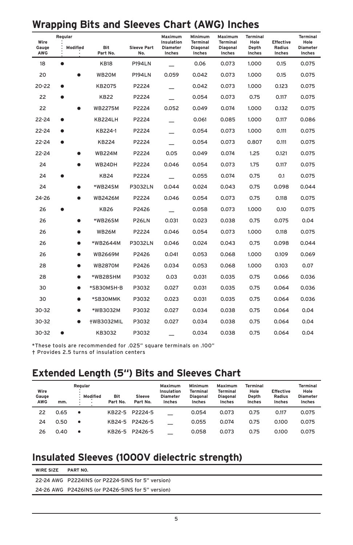## **Wrapping Bits and Sleeves Chart (AWG) Inches**

| Regular<br>Wire |           |           |                        | Maximum<br>Insulation     | Minimum<br><b>Terminal</b> | Maximum<br><b>Terminal</b> | <b>Terminal</b><br>Hole | <b>Effective</b> | <b>Terminal</b><br>Hole |                           |
|-----------------|-----------|-----------|------------------------|---------------------------|----------------------------|----------------------------|-------------------------|------------------|-------------------------|---------------------------|
| Gauge<br>AWG    |           | Modified  | <b>Bit</b><br>Part No. | <b>Sleeve Part</b><br>No. | <b>Diameter</b><br>Inches  | Diagonal<br>Inches         | Diagonal<br>Inches      | Depth<br>Inches  | <b>Radius</b><br>Inches | <b>Diameter</b><br>Inches |
| 18              | $\bullet$ |           | <b>KB18</b>            | <b>P194LN</b>             |                            | 0.06                       | 0.073                   | 1.000            | 0.15                    | 0.075                     |
| 20              |           |           | WB20M                  | <b>P194LN</b>             | 0.059                      | 0.042                      | 0.073                   | 1.000            | 0.15                    | 0.075                     |
| 20-22           |           |           | KB2075                 | P2224                     |                            | 0.042                      | 0.073                   | 1.000            | 0.123                   | 0.075                     |
| 22              |           |           | <b>KB22</b>            | P2224                     |                            | 0.054                      | 0.073                   | 0.75             | 0.117                   | 0.075                     |
| 22              |           |           | <b>WB2275M</b>         | P2224                     | 0.052                      | 0.049                      | 0.074                   | 1.000            | 0.132                   | 0.075                     |
| 22-24           |           |           | KB224LH                | P2224                     |                            | 0.061                      | 0.085                   | 1.000            | 0.117                   | 0.086                     |
| 22-24           |           |           | KB224-1                | P2224                     |                            | 0.054                      | 0.073                   | 1.000            | 0.111                   | 0.075                     |
| $22 - 24$       | $\bullet$ |           | <b>KB224</b>           | P2224                     |                            | 0.054                      | 0.073                   | 0.807            | 0.111                   | 0.075                     |
| 22-24           |           |           | <b>WB224M</b>          | P2224                     | 0.05                       | 0.049                      | 0.074                   | 1.25             | 0.121                   | 0.075                     |
| 24              |           |           | WB24DH                 | P2224                     | 0.046                      | 0.054                      | 0.073                   | 1.75             | 0.117                   | 0.075                     |
| 24              |           |           | <b>KB24</b>            | P2224                     |                            | 0.055                      | 0.074                   | 0.75             | 0.1                     | 0.075                     |
| 24              |           |           | *WB24SM                | <b>P3032LN</b>            | 0.044                      | 0.024                      | 0.043                   | 0.75             | 0.098                   | 0.044                     |
| 24-26           |           |           | <b>WB2426M</b>         | P2224                     | 0.046                      | 0.054                      | 0.073                   | 0.75             | 0.118                   | 0.075                     |
| 26              |           |           | <b>KB26</b>            | P2426                     |                            | 0.058                      | 0.073                   | 1.000            | 0.10                    | 0.075                     |
| 26              |           |           | *WB26SM                | <b>P26LN</b>              | 0.031                      | 0.023                      | 0.038                   | 0.75             | 0.075                   | 0.04                      |
| 26              |           |           | <b>WB26M</b>           | P2224                     | 0.046                      | 0.054                      | 0.073                   | 1.000            | 0.118                   | 0.075                     |
| 26              |           |           | *WB2644M               | <b>P3032LN</b>            | 0.046                      | 0.024                      | 0.043                   | 0.75             | 0.098                   | 0.044                     |
| 26              |           |           | <b>WB2669M</b>         | P2426                     | 0.041                      | 0.053                      | 0.068                   | 1.000            | 0.109                   | 0.069                     |
| 28              |           |           | <b>WB2870M</b>         | P2426                     | 0.034                      | 0.053                      | 0.068                   | 1.000            | 0.103                   | 0.07                      |
| 28              |           | $\bullet$ | *WB28SHM               | P3032                     | 0.03                       | 0.031                      | 0.035                   | 0.75             | 0.066                   | 0.036                     |
| 30              |           | ●         | *SB30MSH-B             | P3032                     | 0.027                      | 0.031                      | 0.035                   | 0.75             | 0.064                   | 0.036                     |
| 30              |           |           | *SB30MMK               | P3032                     | 0.023                      | 0.031                      | 0.035                   | 0.75             | 0.064                   | 0.036                     |
| $30 - 32$       |           |           | *WB3032M               | P3032                     | 0.027                      | 0.034                      | 0.038                   | 0.75             | 0.064                   | 0.04                      |
| $30 - 32$       |           | ▲         | <b>+WB3032MIL</b>      | P3032                     | 0.027                      | 0.034                      | 0.038                   | 0.75             | 0.064                   | 0.04                      |
| 30-32           | e         |           | KB3032                 | P3032                     |                            | 0.034                      | 0.038                   | 0.75             | 0.064                   | 0.04                      |

\*These tools are recommended for .025" square terminals on .100"

† Provides 2.5 turns of insulation centers

### **Extended Length (5") Bits and Sleeves Chart**

| Wire<br>Gauge<br><b>AWG</b> | mm.  | Regular<br>Modified<br>٠.<br>$\bullet$ | <b>Bit</b><br>Part No. | <b>Sleeve</b><br>Part No. | Maximum<br>Insulation<br><b>Diameter</b><br>Inches | Minimum<br><b>Terminal</b><br><b>Diagonal</b><br>Inches | Maximum<br><b>Terminal</b><br><b>Diagonal</b><br>Inches | Terminal<br>Hole<br>Depth<br>Inches | <b>Effective</b><br><b>Radius</b><br>Inches | <b>Terminal</b><br>Hole<br><b>Diameter</b><br>Inches |
|-----------------------------|------|----------------------------------------|------------------------|---------------------------|----------------------------------------------------|---------------------------------------------------------|---------------------------------------------------------|-------------------------------------|---------------------------------------------|------------------------------------------------------|
| 22                          | 0.65 | ٠                                      | KB22-5                 | P2224-5                   |                                                    | 0.054                                                   | 0.073                                                   | 0.75                                | 0.117                                       | 0.075                                                |
| 24                          | 0.50 | ٠                                      | KB24-5                 | P2426-5                   |                                                    | 0.055                                                   | 0.074                                                   | 0.75                                | 0.100                                       | 0.075                                                |
| 26                          | 0.40 |                                        | KB26-5                 | P2426-5                   |                                                    | 0.058                                                   | 0.073                                                   | 0.75                                | 0.100                                       | 0.075                                                |

### **Insulated Sleeves (1000V dielectric strength)**

| <b>WIRE SIZE</b> | PART NO.                                          |  |
|------------------|---------------------------------------------------|--|
|                  | 22-24 AWG P2224INS (or P2224-5INS for 5" version) |  |
|                  | 24-26 AWG P2426INS (or P2426-5INS for 5" version) |  |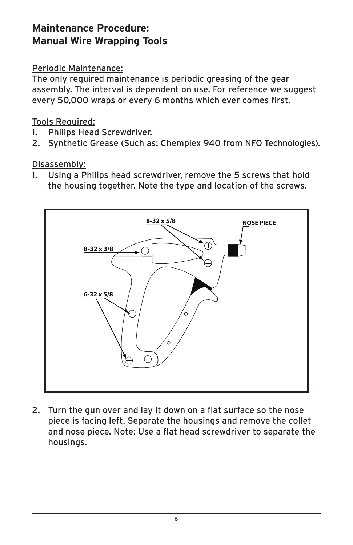# **Maintenance Procedure: Manual Wire Wrapping Tools**

#### Periodic Maintenance:

The only required maintenance is periodic greasing of the gear assembly. The interval is dependent on use. For reference we suggest every 50,000 wraps or every 6 months which ever comes first.

#### Tools Required:

- 1. Philips Head Screwdriver.
- 2. Synthetic Grease (Such as: Chemplex 940 from NFO Technologies).

#### Disassembly:

1. Using a Philips head screwdriver, remove the 5 screws that hold the housing together. Note the type and location of the screws.



2. Turn the gun over and lay it down on a flat surface so the nose piece is facing left. Separate the housings and remove the collet and nose piece. Note: Use a flat head screwdriver to separate the housings.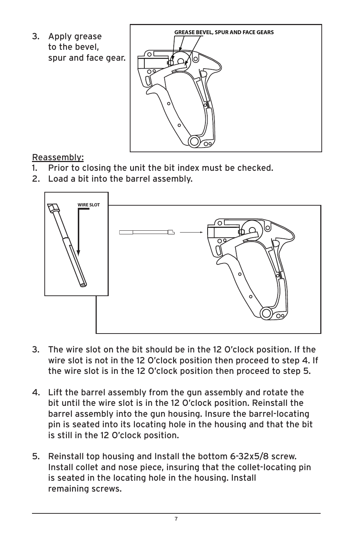to the bevel, spur and face gear.



### Reassembly:

- 1. Prior to closing the unit the bit index must be checked.
- 2. Load a bit into the barrel assembly.



- 3. The wire slot on the bit should be in the 12 O'clock position. If the wire slot is not in the 12 O'clock position then proceed to step 4. If the wire slot is in the 12 O'clock position then proceed to step 5.
- 4. Lift the barrel assembly from the gun assembly and rotate the bit until the wire slot is in the 12 O'clock position. Reinstall the barrel assembly into the gun housing. Insure the barrel-locating pin is seated into its locating hole in the housing and that the bit is still in the 12 O'clock position.
- 5. Reinstall top housing and Install the bottom 6-32x5/8 screw. Install collet and nose piece, insuring that the collet-locating pin is seated in the locating hole in the housing. Install remaining screws.